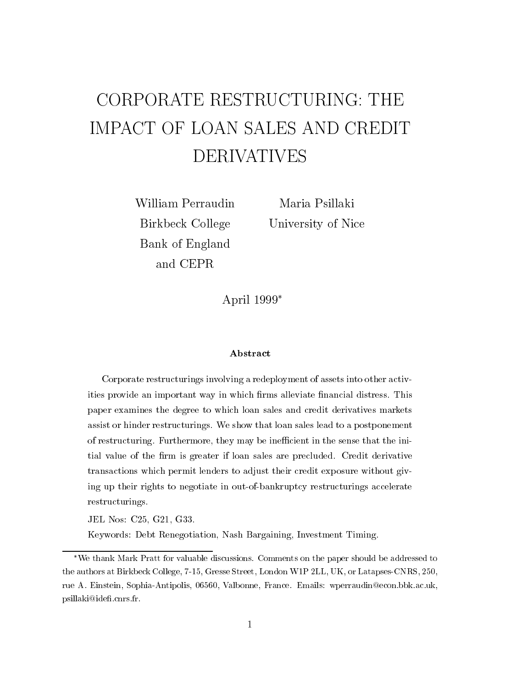# CORPORATE RESTRUCTURING: THE IMPACT OF LOAN SALES AND CREDIT DERIVATIVES

William Perraudin Birkbeck College Bank of England

Maria Psillaki University of Nice

April 1999

#### Abstract

Corporate restructurings involving a redeployment of assets into other activities provide an important way in which firms alleviate financial distress. This paper examines the degree to which loan sales and credit derivatives markets assist or hinder restructurings. We show that loan sales lead to a postponement of restructuring. Furthermore, they may be inecient in the sense that the initial value of the firm is greater if loan sales are precluded. Credit derivative transactions which permit lenders to adjust their credit exposure without giving up their rights to negotiate in out-of-bankruptcy restructurings accelerate restructurings.

JEL Nos: C25, G21, G33.

Keywords: Debt Renegotiation, Nash Bargaining, Investment Timing.

We thank Mark Pratt for valuable discussions. Comments on the paper should be addressed to the authors at Birkbeck College, 7-15, Gresse Street, London W1P 2LL, UK, or Latapses-CNRS, 250, rue A. Einstein, Sophia-Antipolis, 06560, Valbonne, France. Emails: wperraudin@econ.bbk.ac.uk, psillaki@ide.cnrs.fr.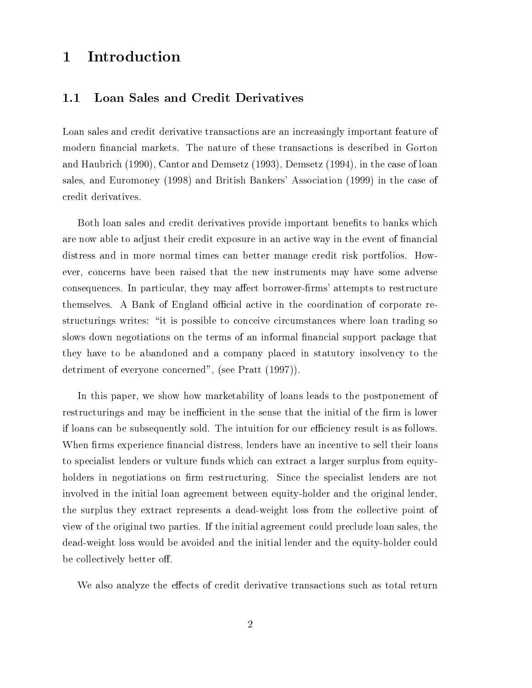## 1 Introduction

## 1.1 Loan Sales and Credit Derivatives

Loan sales and credit derivative transactions are an increasingly important feature of modern financial markets. The nature of these transactions is described in Gorton and Haubrich (1990), Cantor and Demsetz (1993), Demsetz (1994), in the case of loan sales, and Euromoney (1998) and British Bankers' Association (1999) in the case of credit derivatives.

Both loan sales and credit derivatives provide important benefits to banks which are now able to adjust their credit exposure in an active way in the event of financial distress and in more normal times can better manage credit risk portfolios. However, concerns have been raised that the new instruments may have some adverse consequences. In particular, they may affect borrower-firms' attempts to restructure themselves. A Bank of England official active in the coordination of corporate restructurings writes: "it is possible to conceive circumstances where loan trading so slows down negotiations on the terms of an informal financial support package that they have to be abandoned and a company placed in statutory insolvency to the detriment of everyone concerned", (see Pratt (1997)).

In this paper, we show how marketability of loans leads to the postponement of restructurings and may be inefficient in the sense that the initial of the firm is lower if loans can be subsequently sold. The intuition for our efficiency result is as follows. When firms experience financial distress, lenders have an incentive to sell their loans to specialist lenders or vulture funds which can extract a larger surplus from equityholders in negotiations on firm restructuring. Since the specialist lenders are not involved in the initial loan agreement between equity-holder and the original lender, the surplus they extract represents a dead-weight loss from the collective point of view of the original two parties. If the initial agreement could preclude loan sales, the dead-weight loss would be avoided and the initial lender and the equity-holder could be collectively better off.

We also analyze the effects of credit derivative transactions such as total return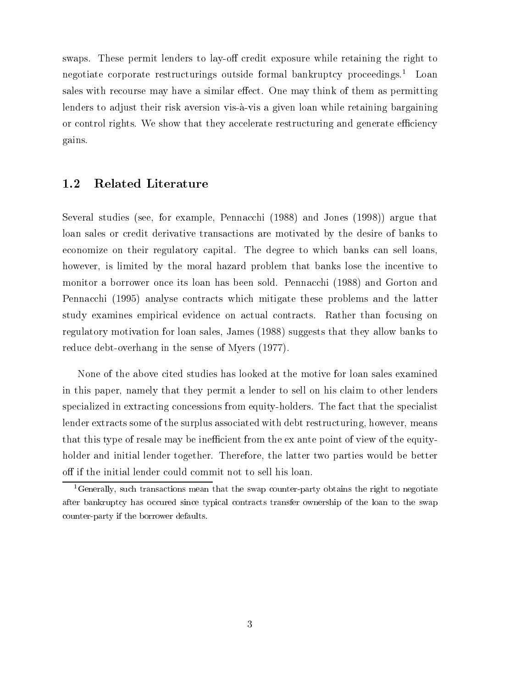swaps. These permit lenders to lay-off credit exposure while retaining the right to negotiate corporate restructurings outside formal bankruptcy proceedings.<sup>1</sup> Loan sales with recourse may have a similar effect. One may think of them as permitting lenders to adjust their risk aversion vis-à-vis a given loan while retaining bargaining or control rights. We show that they accelerate restructuring and generate efficiency gains.

#### Related Literature  $1.2\,$

Several studies (see, for example, Pennacchi (1988) and Jones (1998)) argue that loan sales or credit derivative transactions are motivated by the desire of banks to economize on their regulatory capital. The degree to which banks can sell loans, however, is limited by the moral hazard problem that banks lose the incentive to monitor a borrower once its loan has been sold. Pennacchi (1988) and Gorton and Pennacchi (1995) analyse contracts which mitigate these problems and the latter study examines empirical evidence on actual contracts. Rather than focusing on regulatory motivation for loan sales, James (1988) suggests that they allow banks to reduce debt-overhang in the sense of Myers (1977).

None of the above cited studies has looked at the motive for loan sales examined in this paper, namely that they permit a lender to sell on his claim to other lenders specialized in extracting concessions from equity-holders. The fact that the specialist lender extracts some of the surplus associated with debt restructuring, however, means that this type of resale may be inefficient from the ex ante point of view of the equityholder and initial lender together. Therefore, the latter two parties would be better off if the initial lender could commit not to sell his loan.

<sup>&</sup>lt;sup>1</sup>Generally, such transactions mean that the swap counter-party obtains the right to negotiate after bankruptcy has occured since typical contracts transfer ownership of the loan to the swap counter-party if the borrower defaults.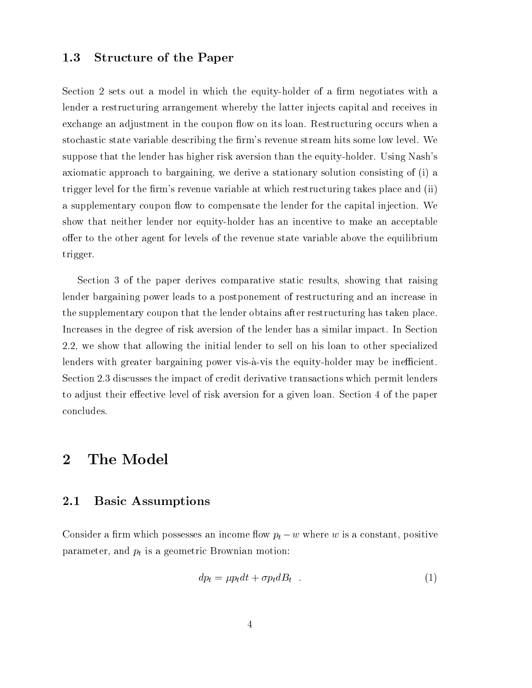#### 1.3 Structure of the Paper

Section 2 sets out a model in which the equity-holder of a firm negotiates with a lender a restructuring arrangement whereby the latter injects capital and receives in exchange an adjustment in the coupon flow on its loan. Restructuring occurs when a stochastic state variable describing the firm's revenue stream hits some low level. We suppose that the lender has higher risk aversion than the equity-holder. Using Nash's axiomatic approach to bargaining, we derive a stationary solution consisting of (i) a trigger level for the firm's revenue variable at which restructuring takes place and (ii) a supplementary coupon flow to compensate the lender for the capital injection. We show that neither lender nor equity-holder has an incentive to make an acceptable offer to the other agent for levels of the revenue state variable above the equilibrium trigger.

Section 3 of the paper derives comparative static results, showing that raising lender bargaining power leads to a postponement of restructuring and an increase in the supplementary coupon that the lender obtains after restructuring has taken place. Increases in the degree of risk aversion of the lender has a similar impact. In Section 2.2, we show that allowing the initial lender to sell on his loan to other specialized lenders with greater bargaining power vis-à-vis the equity-holder may be inefficient. Section 2.3 discusses the impact of credit derivative transactions which permit lenders to adjust their effective level of risk aversion for a given loan. Section 4 of the paper concludes.

#### The Model  $\overline{2}$

#### 2.1 Basic Assumptions

Consider a firm which possesses an income flow  $p_t - w$  where w is a constant, positive parameter, and  $p_t$  is a geometric Brownian motion:

$$
dp_t = \mu p_t dt + \sigma p_t dB_t \quad . \tag{1}
$$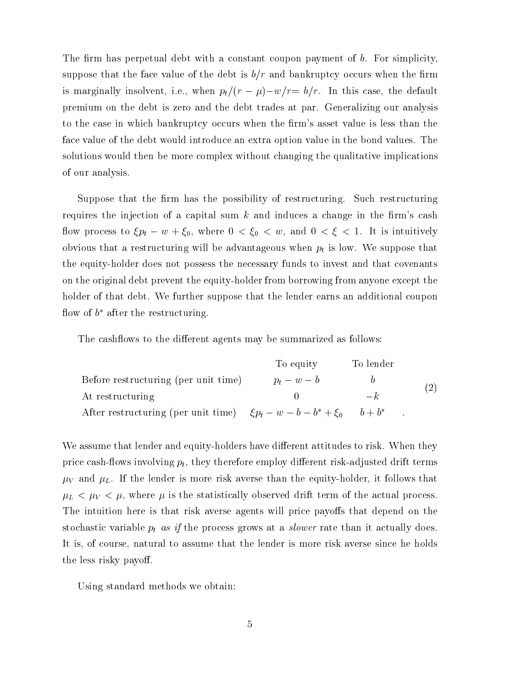The firm has perpetual debt with a constant coupon payment of  $b$ . For simplicity, suppose that the face value of the debt is  $b/r$  and bankruptcy occurs when the firm is marginally insolvent, i.e., when  $p_t/(r - \mu) - w/r = b/r$ . In this case, the default premium on the debt is zero and the debt trades at par. Generalizing our analysis to the case in which bankruptcy occurs when the firm's asset value is less than the face value of the debt would introduce an extra option value in the bond values. The solutions would then be more complex without changing the qualitative implications of our analysis.

Suppose that the firm has the possibility of restructuring. Such restructuring requires the injection of a capital sum  $k$  and induces a change in the firm's cash flow process to  $\xi p_t - w + \xi_0$ , where  $0 < \xi_0 < w$ , and  $0 < \xi < 1$ . It is intuitively obvious that a restructuring will be advantageous when  $p_t$  is low. We suppose that the equity-holder does not possess the necessary funds to invest and that covenants on the original debt prevent the equity-holder from borrowing from anyone except the holder of that debt. We further suppose that the lender earns an additional coupon now or  $\theta$  after the restructuring.

The cashflows to the different agents may be summarized as follows:

|                                                                               | To equity     | To lender |     |  |
|-------------------------------------------------------------------------------|---------------|-----------|-----|--|
| Before restructuring (per unit time)                                          | $p_t - w - b$ |           | (2) |  |
| At restructuring                                                              |               | $-k$      |     |  |
| After restructuring (per unit time) $\xi p_t - w - b - b^* + \xi_0$ $b + b^*$ |               |           |     |  |

We assume that lender and equity-holders have different attitudes to risk. When they price cash-flows involving  $p_t$ , they therefore employ different risk-adjusted drift terms  $\mu_V$  and  $\mu_L$ . If the lender is more risk averse than the equity-holder, it follows that  $\mu_L < \mu_V < \mu$ , where  $\mu$  is the statistically observed drift term of the actual process. The intuition here is that risk averse agents will price payoffs that depend on the stochastic variable  $p_t$  as if the process grows at a *slower* rate than it actually does. It is, of course, natural to assume that the lender is more risk averse since he holds the less risky payoff.

Using standard methods we obtain: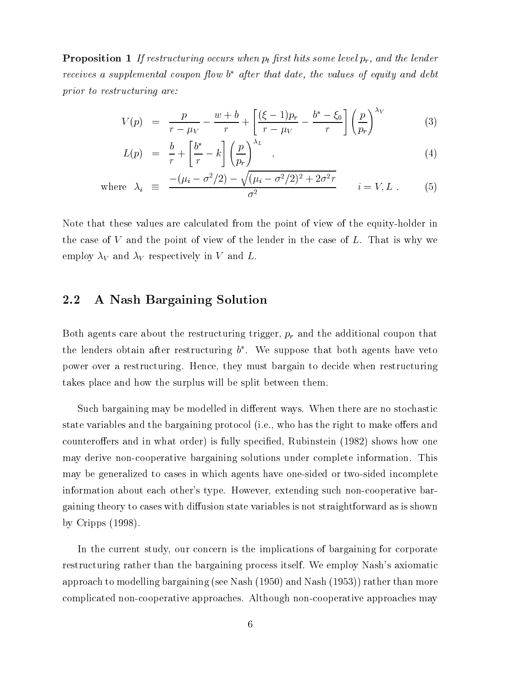**Proposition 1** If restructuring occurs when  $p_t$  first hits some level  $p_r$ , and the lender receives a supplemental coupon flow o-after that date, the values of equity and debt prior to restructuring are:

$$
V(p) = \frac{p}{r - \mu_V} - \frac{w + b}{r} + \left[\frac{(\xi - 1)p_r}{r - \mu_V} - \frac{b^* - \xi_0}{r}\right] \left(\frac{p}{p_r}\right)^{\lambda_V} \tag{3}
$$

$$
L(p) = \frac{b}{r} + \left[\frac{b^*}{r} - k\right] \left(\frac{p}{p_r}\right)^{\lambda_L} \quad , \tag{4}
$$

where 
$$
\lambda_i \equiv \frac{-(\mu_i - \sigma^2/2) - \sqrt{(\mu_i - \sigma^2/2)^2 + 2\sigma^2 r}}{\sigma^2}
$$
  $i = V, L$ . (5)

Note that these values are calculated from the point of view of the equity-holder in the case of  $V$  and the point of view of the lender in the case of  $L$ . That is why we employ  $\lambda_V$  and  $\lambda_V$  respectively in V and L.

#### 2.2 A Nash Bargaining Solution

Both agents care about the restructuring trigger,  $p_r$  and the additional coupon that the lenders obtain after restructuring  $v$  . We suppose that both agents have veto  $\overline{v}$ power over a restructuring. Hence, they must bargain to decide when restructuring takes place and how the surplus will be split between them.

Such bargaining may be modelled in different ways. When there are no stochastic state variables and the bargaining protocol (i.e., who has the right to make offers and counteroffers and in what order) is fully specified, Rubinstein (1982) shows how one may derive non-cooperative bargaining solutions under complete information. This may be generalized to cases in which agents have one-sided or two-sided incomplete information about each other's type. However, extending such non-cooperative bargaining theory to cases with diffusion state variables is not straightforward as is shown by Cripps (1998).

In the current study, our concern is the implications of bargaining for corporate restructuring rather than the bargaining process itself. We employ Nash's axiomatic approach to modelling bargaining (see Nash (1950) and Nash (1953)) rather than more complicated non-cooperative approaches. Although non-cooperative approaches may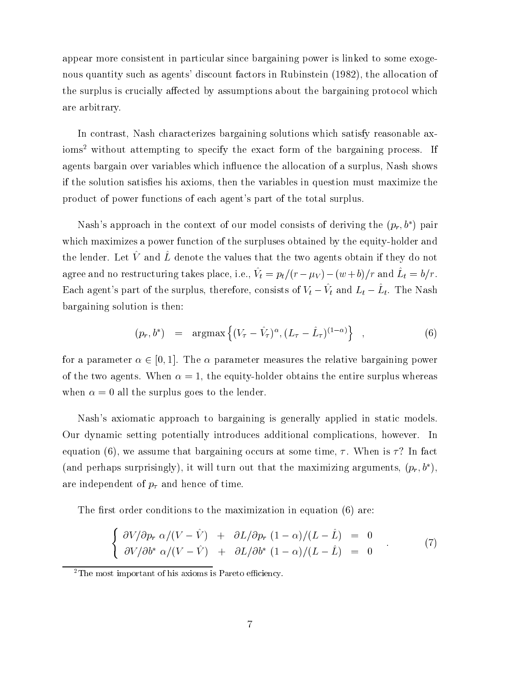appear more consistent in particular since bargaining power is linked to some exogenous quantity such as agents' discount factors in Rubinstein (1982), the allocation of the surplus is crucially affected by assumptions about the bargaining protocol which are arbitrary.

In contrast, Nash characterizes bargaining solutions which satisfy reasonable axioms<sup>2</sup> without attempting to specify the exact form of the bargaining process. If agents bargain over variables which influence the allocation of a surplus, Nash shows if the solution satises his axioms, then the variables in question must maximize the product of power functions of each agent's part of the total surplus.

Nash's approach in the context of our model consists of deriving the  $(p_r, b^*)$  pair which maximizes a power function of the surpluses obtained by the equity-holder and the lender. Let  $V^{\alpha}$  and  $L^{\alpha}$  denote the values that the two agents obtain if they do not agree and no restructuring takes place, i.e.,  $v_t = p_t/(r - \mu V) - (\omega + \nu)/\tau$  and  $L_t = v/r$ . Each agent's part of the surplus, therefore, consists of  $V_t - V_t$  and  $L_t - L_t$ . The Nash bargaining solution is then:

$$
(p_r, b^*) = \arg\max \left\{ (V_\tau - \hat{V}_\tau)^\alpha, (L_\tau - \hat{L}_\tau)^{(1-\alpha)} \right\} , \qquad (6)
$$

for a parameter  $\alpha \in [0, 1]$ . The  $\alpha$  parameter measures the relative bargaining power of the two agents. When  $\alpha = 1$ , the equity-holder obtains the entire surplus whereas when  $\alpha = 0$  all the surplus goes to the lender.

Nash's axiomatic approach to bargaining is generally applied in static models. Our dynamic setting potentially introduces additional complications, however. In equation (6), we assume that bargaining occurs at some time,  $\tau$ . When is  $\tau$ ? In fact (and perhaps surprisingly), it will turn out that the maximizing arguments,  $(p_r, b^*)$ , are independent of  $p_{\tau}$  and hence of time.

The first order conditions to the maximization in equation  $(6)$  are:

$$
\begin{cases}\n\frac{\partial V}{\partial p_r} \alpha/(V - \hat{V}) + \frac{\partial L}{\partial p_r} (1 - \alpha)/(L - \hat{L}) = 0 \\
\frac{\partial V}{\partial b^*} \alpha/(V - \hat{V}) + \frac{\partial L}{\partial b^*} (1 - \alpha)/(L - \hat{L}) = 0\n\end{cases} (7)
$$

 $2$ The most important of his axioms is Pareto efficiency.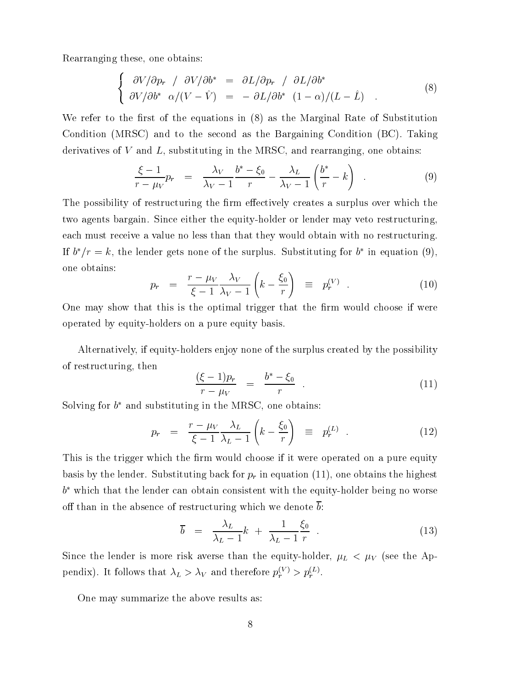Rearranging these, one obtains:

$$
\begin{cases}\n\frac{\partial V}{\partial p_r} / \frac{\partial V}{\partial b^*} = \frac{\partial L}{\partial p_r} / \frac{\partial L}{\partial b^*} \\
\frac{\partial V}{\partial b^*} \alpha / (V - \hat{V}) = - \frac{\partial L}{\partial b^*} (1 - \alpha) / (L - \hat{L}) \n\end{cases} \n\tag{8}
$$

We refer to the first of the equations in  $(8)$  as the Marginal Rate of Substitution Condition (MRSC) and to the second as the Bargaining Condition (BC). Taking derivatives of  $V$  and  $L$ , substituting in the MRSC, and rearranging, one obtains:

$$
\frac{\xi - 1}{r - \mu_V} p_r = \frac{\lambda_V}{\lambda_V - 1} \frac{b^* - \xi_0}{r} - \frac{\lambda_L}{\lambda_V - 1} \left( \frac{b^*}{r} - k \right) . \tag{9}
$$

The possibility of restructuring the firm effectively creates a surplus over which the two agents bargain. Since either the equity-holder or lender may veto restructuring, each must receive a value no less than that they would obtain with no restructuring. If  $v/r = \kappa$ , the lender gets none of the surplus. Substituting for  $v$  in equation (9), one obtains:

$$
p_r = \frac{r - \mu_V}{\xi - 1} \frac{\lambda_V}{\lambda_V - 1} \left( k - \frac{\xi_0}{r} \right) \equiv p_r^{(V)} \quad . \tag{10}
$$

One may show that this is the optimal trigger that the firm would choose if were operated by equity-holders on a pure equity basis.

Alternatively, if equity-holders enjoy none of the surplus created by the possibility of restructuring, then

$$
\frac{(\xi - 1)p_r}{r - \mu_V} = \frac{b^* - \xi_0}{r} \tag{11}
$$

Solving for  $\theta$  and substituting in the MRSC, one obtains:

$$
p_r = \frac{r - \mu_V}{\xi - 1} \frac{\lambda_L}{\lambda_L - 1} \left( k - \frac{\xi_0}{r} \right) \equiv p_r^{(L)} \quad . \tag{12}
$$

This is the trigger which the firm would choose if it were operated on a pure equity basis by the lender. Substituting back for  $p_r$  in equation (11), one obtains the highest <sup>b</sup> which that the lender can obtain consistent with the equity-holder being no worse off than in the absence of restructuring which we denote  $\overline{b}$ :

$$
\overline{b} = \frac{\lambda_L}{\lambda_L - 1} k + \frac{1}{\lambda_L - 1} \frac{\xi_0}{r} \tag{13}
$$

Since the lender is more risk averse than the equity-holder,  $\mu_L < \mu_V$  (see the Appendix). It follows that  $\lambda_L > \lambda_V$  and therefore  $p_r^{\lambda} \geq p_r^{\lambda-1}$ .

One may summarize the above results as: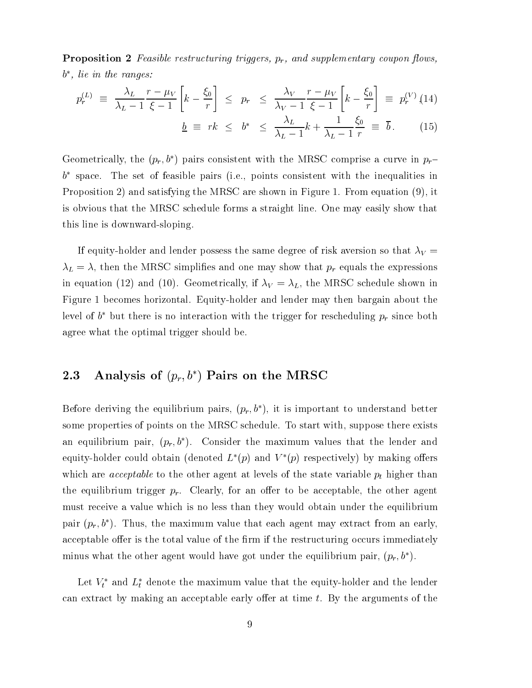**Proposition 2** Feasible restructuring triggers,  $p_r$ , and supplementary coupon flows, <sup>b</sup> , lie in the ranges:

$$
p_r^{(L)} \equiv \frac{\lambda_L}{\lambda_L - 1} \frac{r - \mu_V}{\xi - 1} \left[ k - \frac{\xi_0}{r} \right] \leq p_r \leq \frac{\lambda_V}{\lambda_V - 1} \frac{r - \mu_V}{\xi - 1} \left[ k - \frac{\xi_0}{r} \right] \equiv p_r^{(V)} \tag{14}
$$

$$
\underline{b} \equiv r k < \underline{b^*} < \frac{\lambda_L}{\sqrt{L}} \frac{k + \frac{1}{\sqrt{L}} \cdot \xi_0}{k + \frac{1}{\sqrt{L}} \cdot \xi_0} \equiv \overline{b} \tag{15}
$$

 $L$   $L$   $L$   $L$ 

 $\mathbf{L}$  respectively. The contract of the contract of the contract of the contract of the contract of the contract of the contract of the contract of the contract of the contract of the contract of the contract of the co

Geometrically, the  $(p_r, b^*)$  pairs consistent with the MRSC comprise a curve in  $p_r$  $\sigma$  -space. The set of feasible pairs (i.e., points consistent with the inequalities in  $\sigma$ Proposition 2) and satisfying the MRSC are shown in Figure 1. From equation (9), it is obvious that the MRSC schedule forms a straight line. One may easily show that this line is downward-sloping.

If equity-holder and lender possess the same degree of risk aversion so that  $\lambda_V =$  $\lambda_L = \lambda$ , then the MRSC simplifies and one may show that  $p_r$  equals the expressions in equation (12) and (10). Geometrically, if  $\lambda_V = \lambda_L$ , the MRSC schedule shown in Figure 1 becomes horizontal. Equity-holder and lender may then bargain about the level of  $v$  -but there is no interaction with the trigger for rescheduling  $p_r$  since both agree what the optimal trigger should be.

### 2.3 Analysis of  $(p_r, b^*)$  Pairs on the MRSC

Before deriving the equilibrium pairs,  $(p_r, b^*)$ , it is important to understand better some properties of points on the MRSC schedule. To start with, suppose there exists an equilibrium pair,  $(p_r, b^*)$ . Consider the maximum values that the lender and equity-holder could obtain (denoted  $L^*(p)$  and  $V^*(p)$  respectively) by making offers which are *acceptable* to the other agent at levels of the state variable  $p_t$  higher than the equilibrium trigger  $p_r$ . Clearly, for an offer to be acceptable, the other agent must receive a value which is no less than they would obtain under the equilibrium pair  $(p_r, b^*)$ . Thus, the maximum value that each agent may extract from an early, acceptable offer is the total value of the firm if the restructuring occurs immediately minus what the other agent would have got under the equilibrium pair,  $(p_r, b^*)$ .

Let  $V_t$  and  $L_t$  denote the maximum value that the equity-holder and the lender can extract by making an acceptable early offer at time  $t$ . By the arguments of the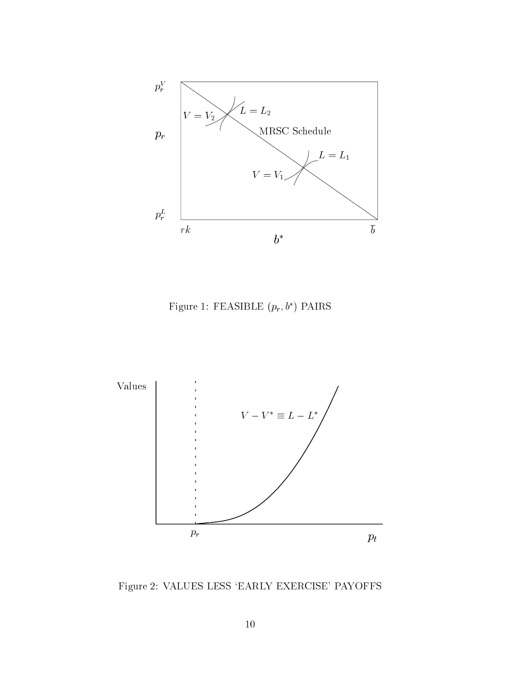

Figure 1: FEASIBLE  $(p_r, b^*)$  PAIRS



Figure 2: VALUES LESS `EARLY EXERCISE' PAYOFFS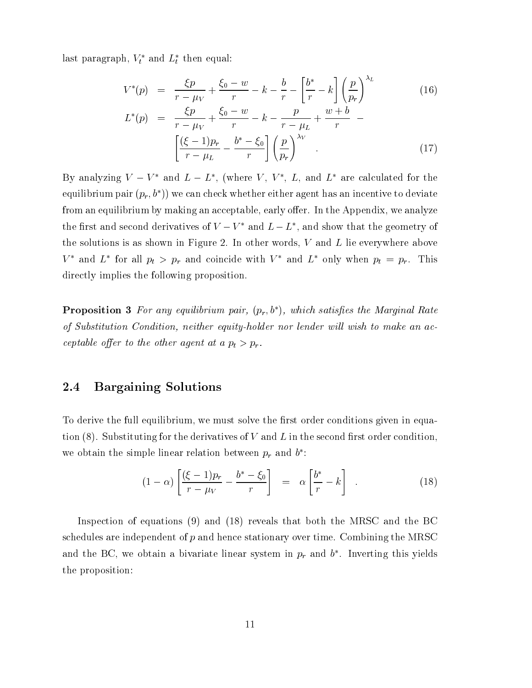rast paragraph,  $v_t$  and  $L_t$  then equal:

 $L^*$ 

$$
V^*(p) = \frac{\xi p}{r - \mu V} + \frac{\xi_0 - w}{r} - k - \frac{b}{r} - \left[\frac{b^*}{r} - k\right] \left(\frac{p}{p_r}\right)^{\lambda_L} \tag{16}
$$

$$
(p) = \frac{\zeta p}{r - \mu_V} + \frac{\zeta_0 - w}{r} - k - \frac{p}{r - \mu_L} + \frac{w + b}{r} - \left[ \frac{(\xi - 1)p_r}{r - \mu_L} - \frac{b^* - \xi_0}{r} \right] \left( \frac{p}{p_r} \right)^{\lambda_V}
$$
\n
$$
(17)
$$

Dy analyzing  $V = V$  and  $L = L$  , twhere  $V$  ,  $V$  ,  $L$ , and  $L$  are calculated for the equilibrium pair  $(p_r, b^*)$  we can check whether either agent has an incentive to deviate from an equilibrium by making an acceptable, early offer. In the Appendix, we analyze the first and second derivatives of  $V = V$  and  $L = L$  , and show that the geometry of the solutions is as shown in Figure 2. In other words, <sup>V</sup> and <sup>L</sup> lie everywhere above  $V$  and  $L$  for all  $p_t > p_r$  and coincide with  $V$  and  $L$  only when  $p_t = p_r$ . This directly implies the following proposition.

**Proposition 3** For any equilibrium pair,  $(p_r, b^*)$ , which satisfies the Marginal Rate of Substitution Condition, neither equity-holder nor lender wil l wish to make an acceptable oer to the other agent at <sup>a</sup> pt > pr .

#### 2.4 Bargaining Solutions

To derive the full equilibrium, we must solve the first order conditions given in equation  $(8)$ . Substituting for the derivatives of V and L in the second first order condition, we obtain the simple linear relation between  $p_r$  and  $\theta$ :

$$
(1 - \alpha) \left[ \frac{(\xi - 1)p_r}{r - \mu_V} - \frac{b^* - \xi_0}{r} \right] = \alpha \left[ \frac{b^*}{r} - k \right] \quad . \tag{18}
$$

Inspection of equations (9) and (18) reveals that both the MRSC and the BC schedules are independent of <sup>p</sup> and hence stationary over time. Combining the MRSC and the  $D_{\Sigma}$ , we obtain a bivariate linear system in  $p_r$  and  $\theta$  . Inverting this yields the proposition: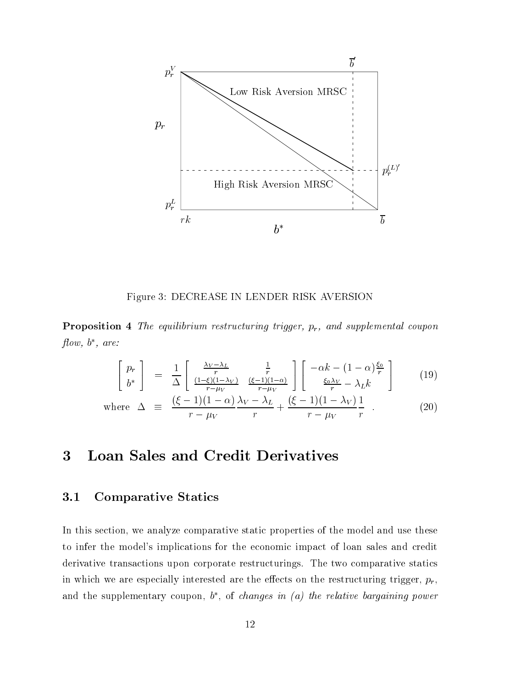

Figure 3: DECREASE IN LENDER RISK AVERSION

**Proposition 4** The equilibrium restructuring trigger,  $p_r$ , and supplemental coupon ow, <sup>b</sup> , are:

$$
\begin{bmatrix} p_r \\ b^* \end{bmatrix} = \frac{1}{\Delta} \begin{bmatrix} \frac{\lambda_V - \lambda_L}{r} & \frac{1}{r} \\ \frac{(1-\xi)(1-\lambda_V)}{r - \mu_V} & \frac{(\xi - 1)(1-\alpha)}{r - \mu_V} \end{bmatrix} \begin{bmatrix} -\alpha k - (1-\alpha)\frac{\xi_0}{r} \\ \frac{\xi_0 \lambda_V}{r} - \lambda_L k \end{bmatrix}
$$
(19)

where 
$$
\Delta \equiv \frac{(\xi - 1)(1 - \alpha)}{r - \mu_V} \frac{\lambda_V - \lambda_L}{r} + \frac{(\xi - 1)(1 - \lambda_V)}{r - \mu_V} \frac{1}{r} .
$$
 (20)

# 3 Loan Sales and Credit Derivatives

#### 3.1 Comparative Statics

In this section, we analyze comparative static properties of the model and use these to infer the model's implications for the economic impact of loan sales and credit derivative transactions upon corporate restructurings. The two comparative statics in which we are especially interested are the effects on the restructuring trigger,  $p_r$ , and the supplementary coupon,  $\theta$ , of *changes in (a) the relative bargaining power*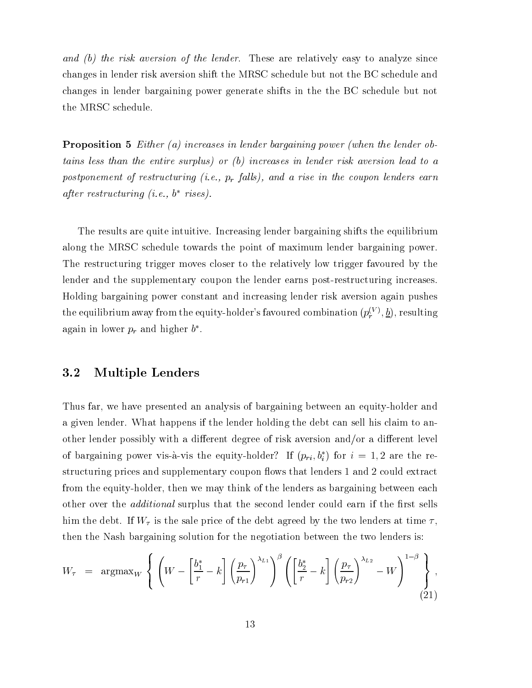and (b) the risk aversion of the lender. These are relatively easy to analyze since changes in lender risk aversion shift the MRSC schedule but not the BC schedule and changes in lender bargaining power generate shifts in the the BC schedule but not the MRSC schedule.

Proposition <sup>5</sup> Either (a) increases in lender bargaining power (when the lender obtains less than the entire surplus) or (b) increases in lender risk aversion lead to <sup>a</sup>  $p$ ostponement of restructuring  $[v. c., p_r]$ utts), and a rise in the coupon tenuers earn after restructuring (i.e., <sup>b</sup> rises).

The results are quite intuitive. Increasing lender bargaining shifts the equilibrium along the MRSC schedule towards the point of maximum lender bargaining power. The restructuring trigger moves closer to the relatively low trigger favoured by the lender and the supplementary coupon the lender earns post-restructuring increases. Holding bargaining power constant and increasing lender risk aversion again pushes the equilibrium away from the equity-holder's favoured combination  $(p_{\varepsilon}^{(V)}, b)$ , resulting again in lower  $p_r$  and higher  $\theta$  .

#### 3.2 Multiple Lenders

Thus far, we have presented an analysis of bargaining between an equity-holder and a given lender. What happens if the lender holding the debt can sell his claim to another lender possibly with a different degree of risk aversion and/or a different level of bargaining power vis-a-vis the equity-holder: If  $(p_{ri}, v_i)$  for  $i = 1, 2$  are the restructuring prices and supplementary coupon flows that lenders 1 and 2 could extract from the equity-holder, then we may think of the lenders as bargaining between each other over the *additional* surplus that the second lender could earn if the first sells him the debt. If  $W_{\tau}$  is the sale price of the debt agreed by the two lenders at time  $\tau$ , then the Nash bargaining solution for the negotiation between the two lenders is:

$$
W_{\tau} = \operatorname{argmax}_{W} \left\{ \left( W - \left[ \frac{b_1^*}{r} - k \right] \left( \frac{p_{\tau}}{p_{r1}} \right)^{\lambda_{L1}} \right)^{\beta} \left( \left[ \frac{b_2^*}{r} - k \right] \left( \frac{p_{\tau}}{p_{r2}} \right)^{\lambda_{L2}} - W \right)^{1-\beta} \right\},\tag{21}
$$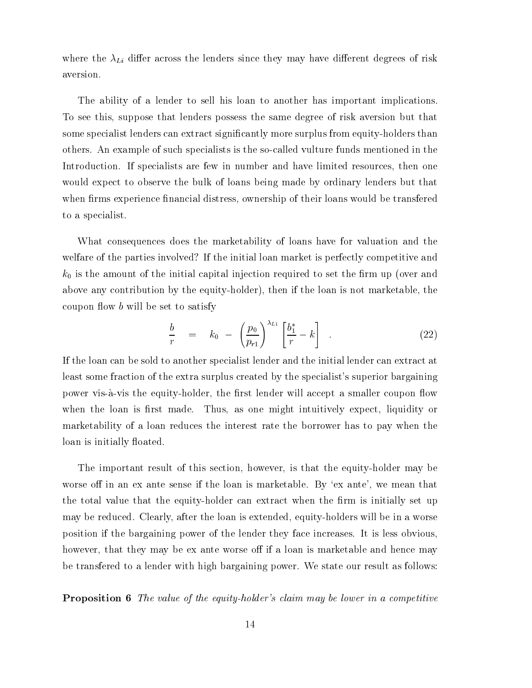where the  $\lambda_{Li}$  differ across the lenders since they may have different degrees of risk aversion.

The ability of a lender to sell his loan to another has important implications. To see this, suppose that lenders possess the same degree of risk aversion but that some specialist lenders can extract significantly more surplus from equity-holders than others. An example of such specialists is the so-called vulture funds mentioned in the Introduction. If specialists are few in number and have limited resources, then one would expect to observe the bulk of loans being made by ordinary lenders but that when firms experience financial distress, ownership of their loans would be transfered to a specialist.

What consequences does the marketability of loans have for valuation and the welfare of the parties involved? If the initial loan market is perfectly competitive and  $k_0$  is the amount of the initial capital injection required to set the firm up (over and above any contribution by the equity-holder), then if the loan is not marketable, the coupon flow  $b$  will be set to satisfy

$$
\frac{b}{r} = k_0 - \left(\frac{p_0}{p_{r1}}\right)^{\lambda_{L1}} \left[\frac{b_1^*}{r} - k\right] \quad . \tag{22}
$$

If the loan can be sold to another specialist lender and the initial lender can extract at least some fraction of the extra surplus created by the specialist's superior bargaining power vis-à-vis the equity-holder, the first lender will accept a smaller coupon flow when the loan is first made. Thus, as one might intuitively expect, liquidity or marketability of a loan reduces the interest rate the borrower has to pay when the loan is initially floated.

The important result of this section, however, is that the equity-holder may be worse off in an ex ante sense if the loan is marketable. By 'ex ante', we mean that the total value that the equity-holder can extract when the firm is initially set up may be reduced. Clearly, after the loan is extended, equity-holders will be in a worse position if the bargaining power of the lender they face increases. It is less obvious, however, that they may be ex ante worse off if a loan is marketable and hence may be transfered to a lender with high bargaining power. We state our result as follows:

**Proposition 6** The value of the equity-holder's claim may be lower in a competitive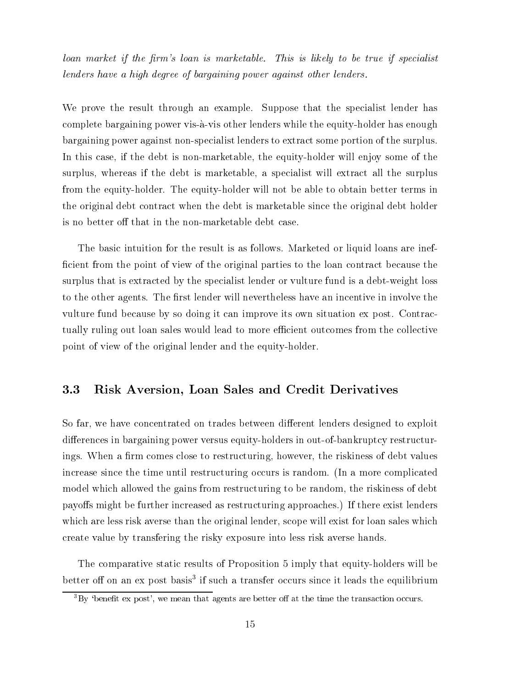loan market if the firm's loan is marketable. This is likely to be true if specialist lenders have <sup>a</sup> high degree ofbargaining power against other lenders.

We prove the result through an example. Suppose that the specialist lender has complete bargaining power vis-a-vis other lenders while the equity-holder has enough bargaining power against non-specialist lenders to extract some portion of the surplus. In this case, if the debt is non-marketable, the equity-holder will enjoy some of the surplus, whereas if the debt is marketable, a specialist will extract all the surplus from the equity-holder. The equity-holder will not be able to obtain better terms in the original debt contract when the debt is marketable since the original debt holder is no better off that in the non-marketable debt case.

The basic intuition for the result is as follows. Marketed or liquid loans are inefficient from the point of view of the original parties to the loan contract because the surplus that is extracted by the specialist lender or vulture fund is a debt-weight loss to the other agents. The first lender will nevertheless have an incentive in involve the vulture fund because by so doing it can improve its own situation ex post. Contractually ruling out loan sales would lead to more efficient outcomes from the collective point of view of the original lender and the equity-holder.

#### 3.3 Risk Aversion, Loan Sales and Credit Derivatives

So far, we have concentrated on trades between different lenders designed to exploit differences in bargaining power versus equity-holders in out-of-bankruptcy restructurings. When a firm comes close to restructuring, however, the riskiness of debt values increase since the time until restructuring occurs is random. (In a more complicated model which allowed the gains from restructuring to be random, the riskiness of debt payoffs might be further increased as restructuring approaches.) If there exist lenders which are less risk averse than the original lender, scope will exist for loan sales which create value by transfering the risky exposure into less risk averse hands.

The comparative static results of Proposition 5 imply that equity-holders will be better on on an ex-post basis" It such a transfer occurs since it leads the equilibrium

 ${}^{3}$ By 'benefit ex post', we mean that agents are better off at the time the transaction occurs.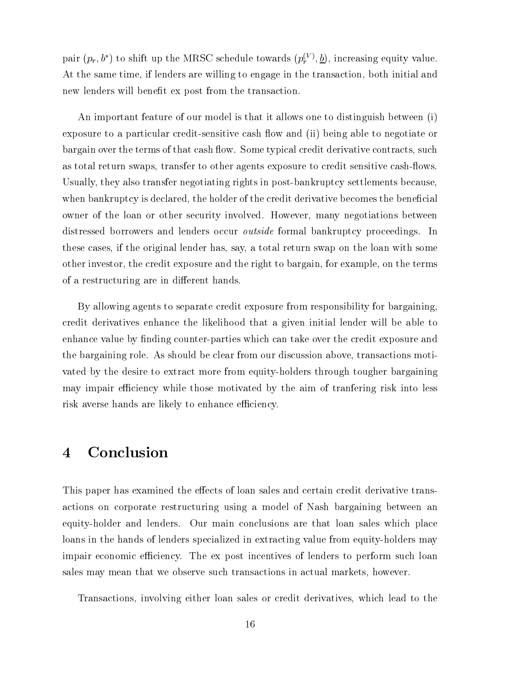pair  $(p_r, \theta)$  to shift up the MRSC schedule towards  $(p_r^{\gamma/\gamma}, \underline{\theta})$ , increasing equity value. At the same time, if lenders are willing to engage in the transaction, both initial and new lenders will benefit ex post from the transaction.

An important feature of our model is that it allows one to distinguish between (i) exposure to a particular credit-sensitive cash flow and (ii) being able to negotiate or bargain over the terms of that cash flow. Some typical credit derivative contracts, such as total return swaps, transfer to other agents exposure to credit sensitive cash-flows. Usually, they also transfer negotiating rights in post-bankruptcy settlements because when bankruptcy is declared, the holder of the credit derivative becomes the beneficial owner of the loan or other security involved. However, many negotiations between distressed borrowers and lenders occur outside formal bankruptcy proceedings. In these cases, if the original lender has, say, a total return swap on the loan with some other investor, the credit exposure and the right to bargain, for example, on the terms of a restructuring are in different hands.

By allowing agents to separate credit exposure from responsibility for bargaining, credit derivatives enhance the likelihood that a given initial lender will be able to enhance value by finding counter-parties which can take over the credit exposure and the bargaining role. As should be clear from our discussion above, transactions motivated by the desire to extract more from equity-holders through tougher bargaining may impair efficiency while those motivated by the aim of tranfering risk into less risk averse hands are likely to enhance efficiency.

## 4 Conclusion

This paper has examined the effects of loan sales and certain credit derivative transactions on corporate restructuring using a model of Nash bargaining between an equity-holder and lenders. Our main conclusions are that loan sales which place loans in the hands of lenders specialized in extracting value from equity-holders may impair economic efficiency. The ex post incentives of lenders to perform such loan sales may mean that we observe such transactions in actual markets, however.

Transactions, involving either loan sales or credit derivatives, which lead to the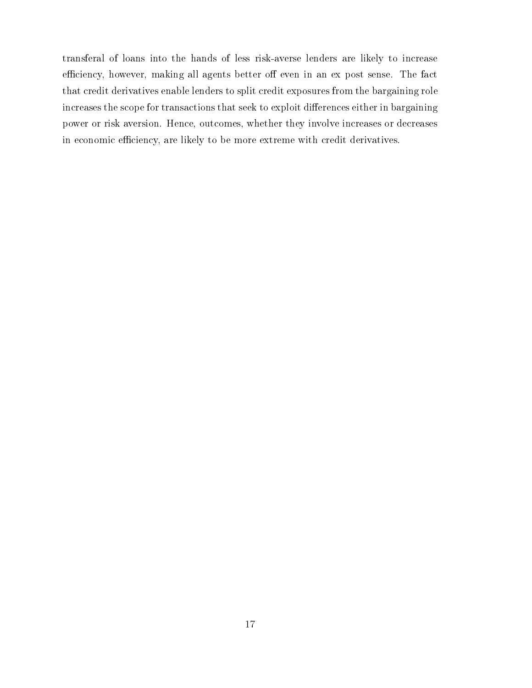transferal of loans into the hands of less risk-averse lenders are likely to increase efficiency, however, making all agents better off even in an ex post sense. The fact that credit derivatives enable lenders to split credit exposures from the bargaining role increases the scope for transactions that seek to exploit differences either in bargaining power or risk aversion. Hence, outcomes, whether they involve increases or decreases in economic efficiency, are likely to be more extreme with credit derivatives.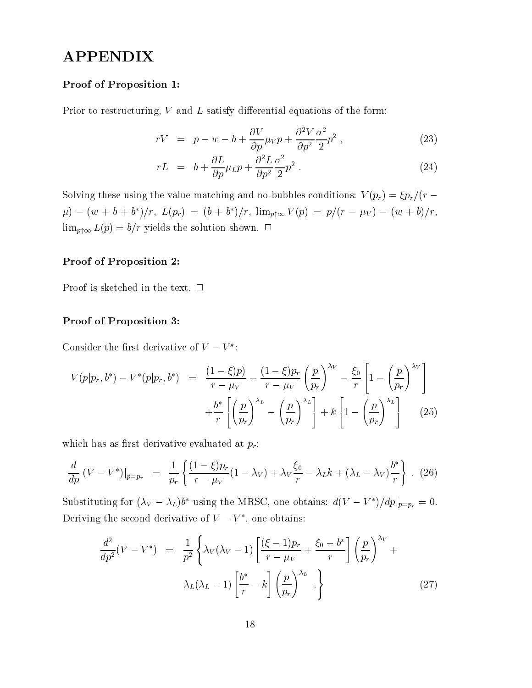# APPENDIX

#### Proof of Proposition 1:

Prior to restructuring,  $V$  and  $L$  satisfy differential equations of the form:

$$
rV = p - w - b + \frac{\partial V}{\partial p}\mu_V p + \frac{\partial^2 V}{\partial p^2} \frac{\sigma^2}{2} p^2 , \qquad (23)
$$

$$
rL = b + \frac{\partial L}{\partial p}\mu_L p + \frac{\partial^2 L}{\partial p^2} \frac{\sigma^2}{2} p^2 \tag{24}
$$

Solving these using the value matching and no-bubbles conditions:  $V(p_r) = \frac{\xi p_r}{r - \xi}$  $\mu$ )  $-(w + b + b)/r$ ,  $L(p_r) = (b + b)/r$ ,  $\lim_{p \uparrow \infty} V(p) = p/(r - \mu_V) - (w + b)/r$ ,  $\lim_{p \uparrow \infty} L(p) = b/r$  yields the solution shown.  $\Box$ 

#### Proof of Proposition 2:

Proof is sketched in the text.  $\Box$ 

#### Proof of Proposition 3:

Consider the first derivative of  $V = V$ :

$$
V(p|p_r, b^*) - V^*(p|p_r, b^*) = \frac{(1-\xi)p}{r - \mu_V} - \frac{(1-\xi)p_r}{r - \mu_V} \left(\frac{p}{p_r}\right)^{\lambda_V} - \frac{\xi_0}{r} \left[1 - \left(\frac{p}{p_r}\right)^{\lambda_V}\right] + \frac{b^*}{r} \left[\left(\frac{p}{p_r}\right)^{\lambda_L} - \left(\frac{p}{p_r}\right)^{\lambda_L}\right] + k \left[1 - \left(\frac{p}{p_r}\right)^{\lambda_L}\right] \tag{25}
$$

which has as first derivative evaluated at  $p_r$ :

$$
\frac{d}{dp} \left( V - V^* \right) \Big|_{p=p_r} = \frac{1}{p_r} \left\{ \frac{(1-\xi)p_r}{r - \mu_V} (1 - \lambda_V) + \lambda_V \frac{\xi_0}{r} - \lambda_L k + (\lambda_L - \lambda_V) \frac{b^*}{r} \right\} .
$$
 (26)

Substituting for  $(\lambda_V - \lambda_L)\theta$  using the MRSC, one obtains:  $a(V - V)/ap|_{p=p_r} = 0$ . Deriving the second derivative of  $V = V$ , one obtains:

$$
\frac{d^2}{dp^2}(V - V^*) = \frac{1}{p^2} \left\{ \lambda_V(\lambda_V - 1) \left[ \frac{(\xi - 1)p_r}{r - \mu_V} + \frac{\xi_0 - b^*}{r} \right] \left( \frac{p}{p_r} \right)^{\lambda_V} + \lambda_L(\lambda_L - 1) \left[ \frac{b^*}{r} - k \right] \left( \frac{p}{p_r} \right)^{\lambda_L} \cdot \right\}
$$
\n(27)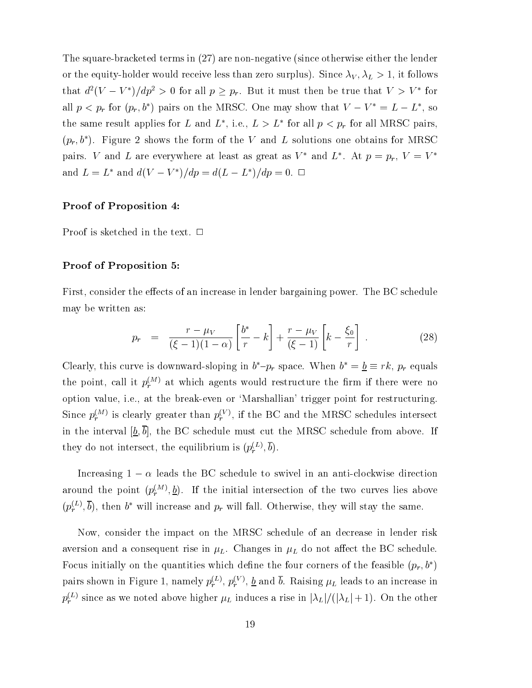The square-bracketed terms in (27) are non-negative (since otherwise either the lender or the equity-holder would receive less than zero surplus). Since  $\lambda_V$ ,  $\lambda_L > 1$ , it follows that  $a^2(V - V)/ap^2 > 0$  for all  $p \geq p_r$ . But it must then be true that  $V > V$  for all  $p < p_r$  for  $(p_r, \theta)$  pairs on the MRSC. One may show that  $V - V = L - L$ , so the same result applies for L and L, i.e.,  $L > L$  for all  $p < p_r$  for all MRSC pairs,  $(p_r, b^*)$ . Figure 2 shows the form of the V and L solutions one obtains for MRSC pairs. V and L are everywhere at least as great as V and L . At  $p = p_r$ ,  $v = v$ and  $L = L^*$  and  $d(V - V^*)/dp = d(L - L^*)/dp = 0$ .  $\Box$ 

#### Proof of Proposition 4:

Proof is sketched in the text.  $\Box$ 

#### Proof of Proposition 5:

First, consider the effects of an increase in lender bargaining power. The BC schedule may be written as:

$$
p_r = \frac{r - \mu_V}{(\xi - 1)(1 - \alpha)} \left[ \frac{b^*}{r} - k \right] + \frac{r - \mu_V}{(\xi - 1)} \left[ k - \frac{\xi_0}{r} \right] \,. \tag{28}
$$

Clearly, this curve is downward-sloping in  $b - p_r$  space. When  $b = \underline{b} = r\kappa$ ,  $p_r$  equals the point, call it  $p_r^{\text{max}}$  at which agents would restructure the firm if there were no option value, i.e., at the break-even or `Marshallian' trigger point for restructuring. Since  $p_{\lambda}^{\text{max}}$  is clearly greater than  $p_{\lambda}^{\text{max}}$ , if the BC and the MRSC schedules intersect in the interval  $[\underline{b}, \overline{b}]$ , the BC schedule must cut the MRSC schedule from above. If they do not intersect, the equilibrium is  $(p_* \times, b)$ .

Increasing  $1 - \alpha$  leads the BC schedule to swivel in an anti-clockwise direction around the point  $(p^{m+1}_*,p)_*$ . If the initial intersection of the two curves lies above  $(p_r^{\infty},b)$ , then b will increase and  $p_r$  will fall. Otherwise, they will stay the same.

Now, consider the impact on the MRSC schedule of an decrease in lender risk aversion and a consequent rise in  $\mu_L$ . Changes in  $\mu_L$  do not affect the BC schedule. Focus initially on the quantities which define the four corners of the feasible  $(p_r, b^*)$ pairs shown in Figure 1, namely  $p_r^{\infty}$ ,  $p_r^{\infty}$ ,  $\frac{\sigma}{2}$  and *b*. Raising  $\mu_L$  leads to an increase in  $p_i^*$   $\prime$  since as we noted above higher  $\mu_L$  induces a rise in  $|\lambda_L|/|\lambda_L| + 1$ ). On the other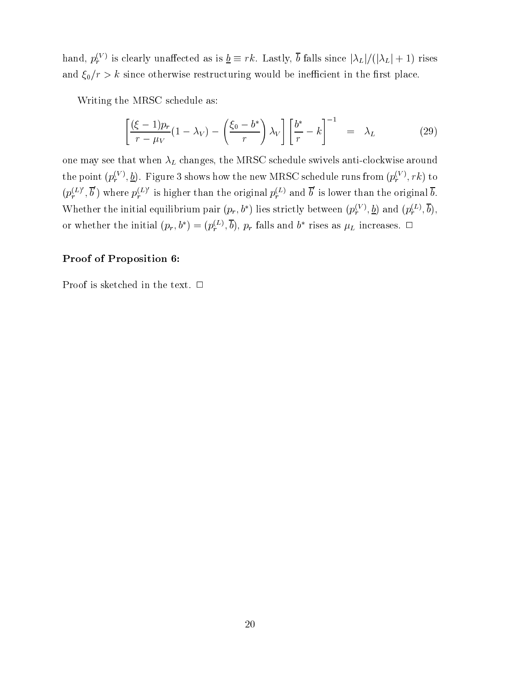hand,  $p_r^{\perp}$  is clearly unaffected as is  $\underline{\theta} = r\kappa$ . Lastly,  $\theta$  falls since  $|\lambda_L|/(|\lambda_L| + 1)$  rises and  $\xi_0/r > k$  since otherwise restructuring would be inefficient in the first place.

Writing the MRSC schedule as:

$$
\left[\frac{(\xi-1)p_r}{r-\mu_V}(1-\lambda_V)-\left(\frac{\xi_0-b^*}{r}\right)\lambda_V\right]\left[\frac{b^*}{r}-k\right]^{-1} = \lambda_L \tag{29}
$$

one may see that when  $\lambda_L$  changes, the MRSC schedule swivels anti-clockwise around the point  $(p_r^{\gamma \gamma}, \underline{\theta})$ . Figure 3 shows how the new MRSC schedule runs from  $(p_r^{\gamma \gamma}, r\kappa)$  to  $(p<sup>(L)</sup> , b)$  $r_r^{(L)}$  ,  $b$  ) where  $p_r^{(L)}$  is h  $r_r^{(L)}$  is higher than the original  $p_r^{(L)}$  and b is lower than the original b. Whether the initial equilibrium pair  $(p_r, o)$  lies strictly between  $(p_r^{\perp \vee}, \underline{b})$  and  $(p_r^{\perp \perp}, o),$ or whether the initial  $(p_r, \theta) = (p_r^{\perp}, \theta), p_r$  rails and b rises as  $\mu_L$  increases.  $\Box$ 

#### Proof of Proposition 6:

Proof is sketched in the text.  $\Box$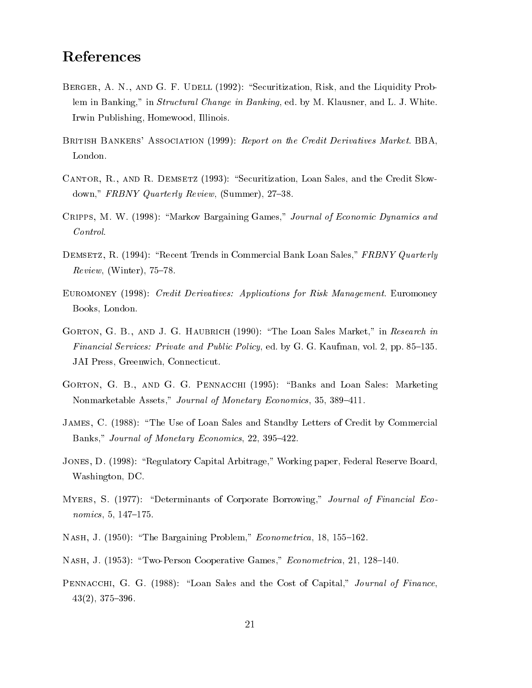## References

- BERGER, A. N., AND G. F. UDELL (1992): "Securitization, Risk, and the Liquidity Problem in Banking," in Structural Change in Banking, ed. by M. Klausner, and L. J. White. Irwin Publishing, Homewood, Illinois.
- BRITISH BANKERS' ASSOCIATION (1999): Report on the Credit Derivatives Market. BBA,
- CANTOR, R., AND R. DEMSETZ (1993): "Securitization, Loan Sales, and the Credit Slowdown,"  $FRBNY$  Quarterly Review, (Summer), 27-38.
- CRIPPS, M. W. (1998): "Markov Bargaining Games," Journal of Economic Dynamics and Control.
- DEMSETZ, R. (1994): "Recent Trends in Commercial Bank Loan Sales," FRBNY Quarterly  $Review, (Winter), 75–78.$
- Euromoney (1998): Credit Derivatives: Applications for Risk Management. Euromoney Books, London.
- GORTON, G. B., AND J. G. HAUBRICH (1990): "The Loan Sales Market," in Research in Financial Services: Private and Public Policy, ed. by G. G. Kaufman, vol. 2, pp. 85–135. JAI Press, Greenwich, Connecticut.
- GORTON, G. B., AND G. G. PENNACCHI (1995): "Banks and Loan Sales: Marketing Nonmarketable Assets," Journal of Monetary Economics, 35, 389–411.
- James, C. (1988): \The Use of Loan Sales and Standby Letters of Credit by Commercial Banks," Journal of Monetary Economics, 22, 395-422.
- JONES, D. (1998): "Regulatory Capital Arbitrage," Working paper, Federal Reserve Board, Washington, DC.
- MYERS, S. (1977): "Determinants of Corporate Borrowing," Journal of Financial Eco $nomics, 5, 147-175.$
- NASH, J. (1950): "The Bargaining Problem," Econometrica, 18, 155-162.
- NASH, J. (1953): "Two-Person Cooperative Games," Econometrica, 21, 128-140.
- PENNACCHI, G. G. (1988): "Loan Sales and the Cost of Capital," Journal of Finance,  $43(2)$ ,  $375-396$ .